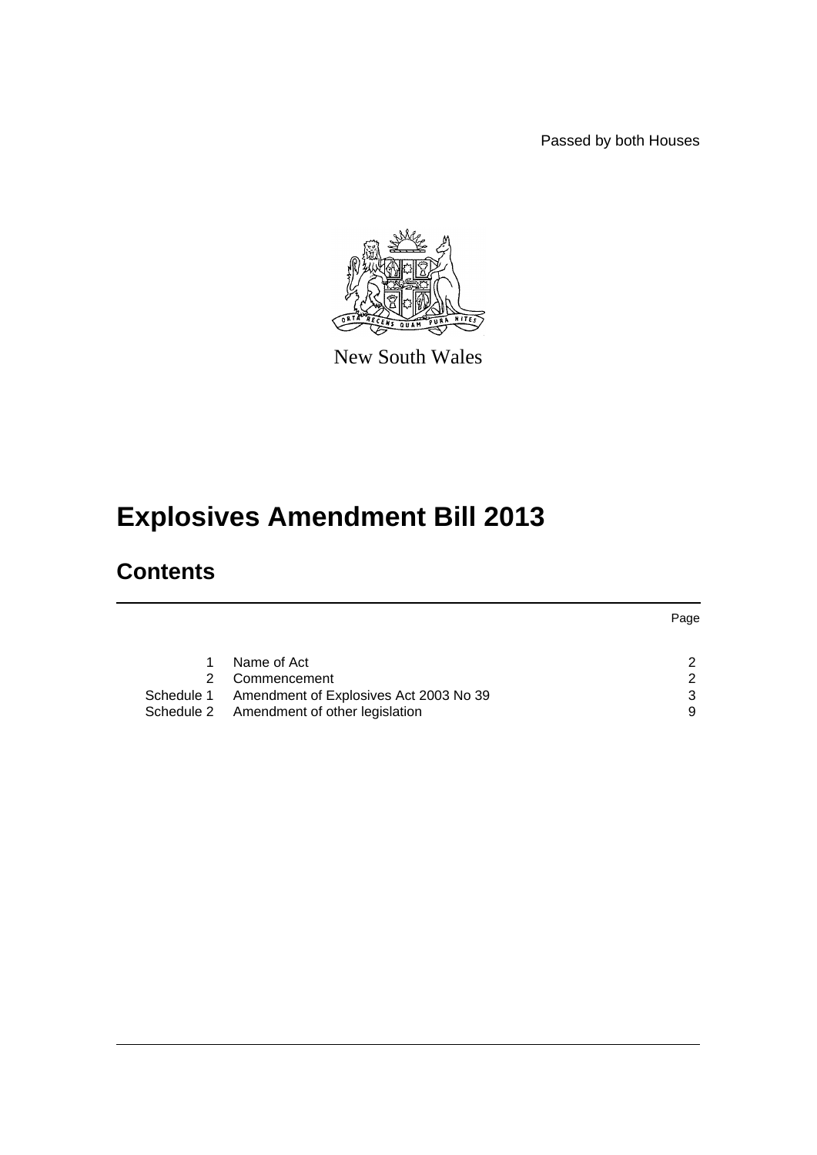Passed by both Houses



New South Wales

# **Explosives Amendment Bill 2013**

# **Contents**

|                                                   | Page |
|---------------------------------------------------|------|
|                                                   |      |
| Name of Act                                       | ົ    |
| Commencement                                      | ົ    |
| Schedule 1 Amendment of Explosives Act 2003 No 39 |      |
| Schedule 2 Amendment of other legislation         | 9    |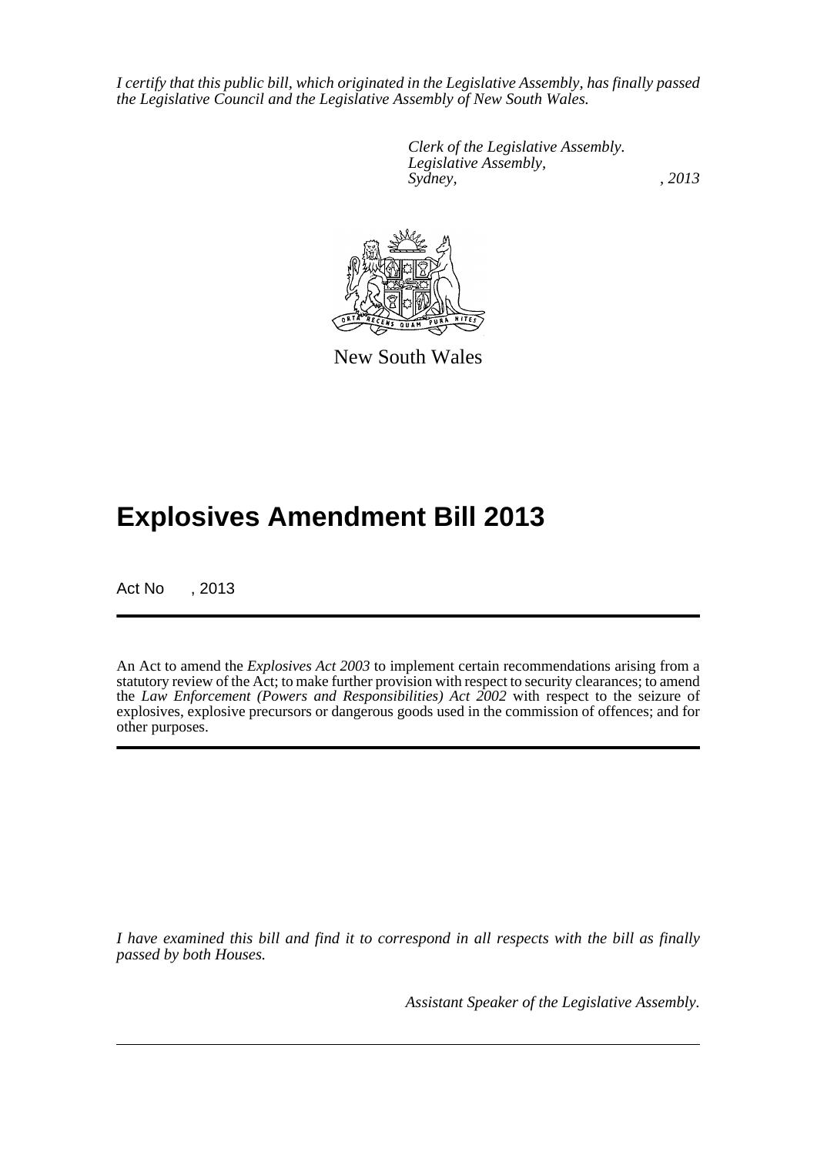*I certify that this public bill, which originated in the Legislative Assembly, has finally passed the Legislative Council and the Legislative Assembly of New South Wales.*

> *Clerk of the Legislative Assembly. Legislative Assembly, Sydney, , 2013*



New South Wales

# **Explosives Amendment Bill 2013**

Act No , 2013

An Act to amend the *Explosives Act 2003* to implement certain recommendations arising from a statutory review of the Act; to make further provision with respect to security clearances; to amend the *Law Enforcement (Powers and Responsibilities) Act 2002* with respect to the seizure of explosives, explosive precursors or dangerous goods used in the commission of offences; and for other purposes.

*I have examined this bill and find it to correspond in all respects with the bill as finally passed by both Houses.*

*Assistant Speaker of the Legislative Assembly.*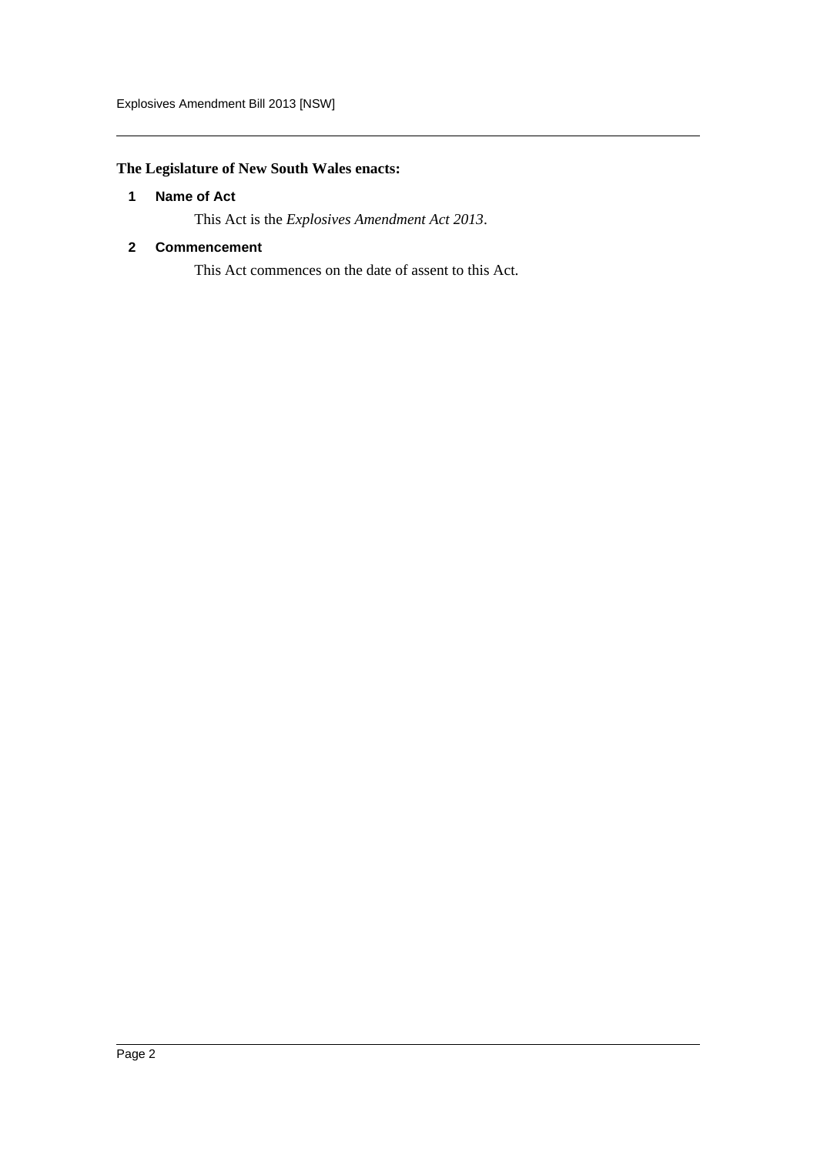# <span id="page-2-0"></span>**The Legislature of New South Wales enacts:**

# **1 Name of Act**

This Act is the *Explosives Amendment Act 2013*.

# <span id="page-2-1"></span>**2 Commencement**

This Act commences on the date of assent to this Act.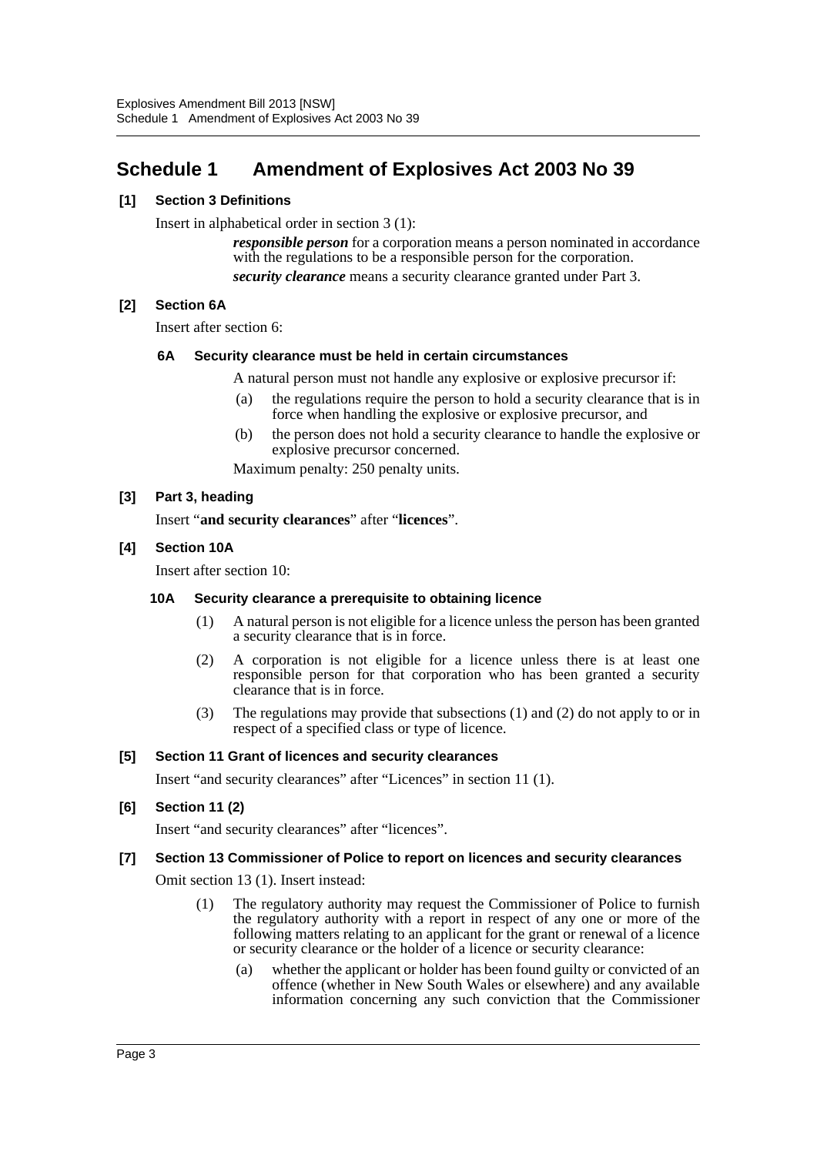# <span id="page-3-0"></span>**Schedule 1 Amendment of Explosives Act 2003 No 39**

# **[1] Section 3 Definitions**

Insert in alphabetical order in section 3 (1):

*responsible person* for a corporation means a person nominated in accordance with the regulations to be a responsible person for the corporation. *security clearance* means a security clearance granted under Part 3.

# **[2] Section 6A**

Insert after section 6:

# **6A Security clearance must be held in certain circumstances**

A natural person must not handle any explosive or explosive precursor if:

- (a) the regulations require the person to hold a security clearance that is in force when handling the explosive or explosive precursor, and
- (b) the person does not hold a security clearance to handle the explosive or explosive precursor concerned.

Maximum penalty: 250 penalty units.

#### **[3] Part 3, heading**

Insert "**and security clearances**" after "**licences**".

# **[4] Section 10A**

Insert after section 10:

#### **10A Security clearance a prerequisite to obtaining licence**

- (1) A natural person is not eligible for a licence unless the person has been granted a security clearance that is in force.
- (2) A corporation is not eligible for a licence unless there is at least one responsible person for that corporation who has been granted a security clearance that is in force.
- (3) The regulations may provide that subsections (1) and (2) do not apply to or in respect of a specified class or type of licence.

#### **[5] Section 11 Grant of licences and security clearances**

Insert "and security clearances" after "Licences" in section 11 (1).

# **[6] Section 11 (2)**

Insert "and security clearances" after "licences".

#### **[7] Section 13 Commissioner of Police to report on licences and security clearances**

Omit section 13 (1). Insert instead:

- (1) The regulatory authority may request the Commissioner of Police to furnish the regulatory authority with a report in respect of any one or more of the following matters relating to an applicant for the grant or renewal of a licence or security clearance or the holder of a licence or security clearance:
	- (a) whether the applicant or holder has been found guilty or convicted of an offence (whether in New South Wales or elsewhere) and any available information concerning any such conviction that the Commissioner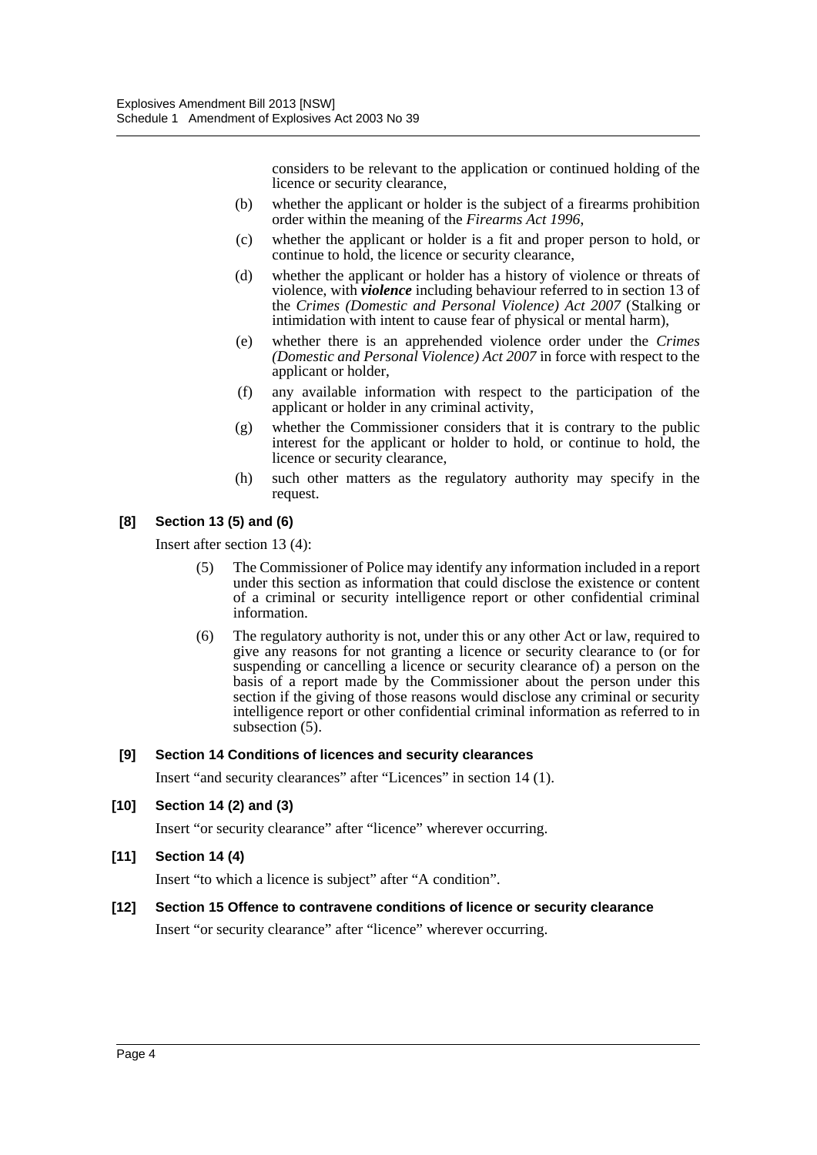considers to be relevant to the application or continued holding of the licence or security clearance,

- (b) whether the applicant or holder is the subject of a firearms prohibition order within the meaning of the *Firearms Act 1996*,
- (c) whether the applicant or holder is a fit and proper person to hold, or continue to hold, the licence or security clearance,
- (d) whether the applicant or holder has a history of violence or threats of violence, with *violence* including behaviour referred to in section 13 of the *Crimes (Domestic and Personal Violence) Act 2007* (Stalking or intimidation with intent to cause fear of physical or mental harm),
- (e) whether there is an apprehended violence order under the *Crimes (Domestic and Personal Violence) Act 2007* in force with respect to the applicant or holder,
- (f) any available information with respect to the participation of the applicant or holder in any criminal activity,
- (g) whether the Commissioner considers that it is contrary to the public interest for the applicant or holder to hold, or continue to hold, the licence or security clearance,
- (h) such other matters as the regulatory authority may specify in the request.

# **[8] Section 13 (5) and (6)**

Insert after section 13 (4):

- (5) The Commissioner of Police may identify any information included in a report under this section as information that could disclose the existence or content of a criminal or security intelligence report or other confidential criminal information.
- (6) The regulatory authority is not, under this or any other Act or law, required to give any reasons for not granting a licence or security clearance to (or for suspending or cancelling a licence or security clearance of) a person on the basis of a report made by the Commissioner about the person under this section if the giving of those reasons would disclose any criminal or security intelligence report or other confidential criminal information as referred to in subsection  $(5)$ .

# **[9] Section 14 Conditions of licences and security clearances**

Insert "and security clearances" after "Licences" in section 14 (1).

**[10] Section 14 (2) and (3)**

Insert "or security clearance" after "licence" wherever occurring.

**[11] Section 14 (4)**

Insert "to which a licence is subject" after "A condition".

# **[12] Section 15 Offence to contravene conditions of licence or security clearance**

Insert "or security clearance" after "licence" wherever occurring.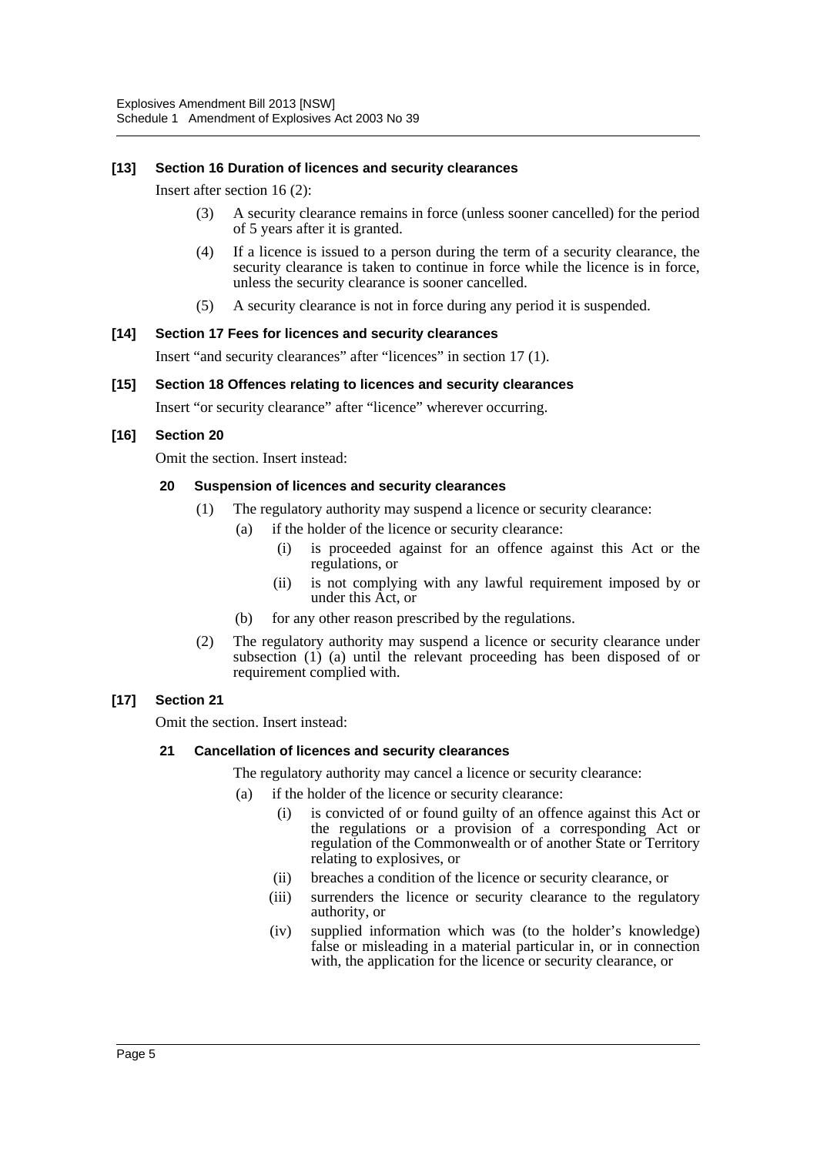#### **[13] Section 16 Duration of licences and security clearances**

Insert after section 16 (2):

- (3) A security clearance remains in force (unless sooner cancelled) for the period of 5 years after it is granted.
- (4) If a licence is issued to a person during the term of a security clearance, the security clearance is taken to continue in force while the licence is in force, unless the security clearance is sooner cancelled.
- (5) A security clearance is not in force during any period it is suspended.

#### **[14] Section 17 Fees for licences and security clearances**

Insert "and security clearances" after "licences" in section 17 (1).

#### **[15] Section 18 Offences relating to licences and security clearances**

Insert "or security clearance" after "licence" wherever occurring.

#### **[16] Section 20**

Omit the section. Insert instead:

#### **20 Suspension of licences and security clearances**

- (1) The regulatory authority may suspend a licence or security clearance:
	- (a) if the holder of the licence or security clearance:
		- (i) is proceeded against for an offence against this Act or the regulations, or
		- (ii) is not complying with any lawful requirement imposed by or under this Act, or
	- (b) for any other reason prescribed by the regulations.
- (2) The regulatory authority may suspend a licence or security clearance under subsection (1) (a) until the relevant proceeding has been disposed of or requirement complied with.

#### **[17] Section 21**

Omit the section. Insert instead:

#### **21 Cancellation of licences and security clearances**

The regulatory authority may cancel a licence or security clearance:

- (a) if the holder of the licence or security clearance:
	- (i) is convicted of or found guilty of an offence against this Act or the regulations or a provision of a corresponding Act or regulation of the Commonwealth or of another State or Territory relating to explosives, or
	- (ii) breaches a condition of the licence or security clearance, or
	- (iii) surrenders the licence or security clearance to the regulatory authority, or
	- (iv) supplied information which was (to the holder's knowledge) false or misleading in a material particular in, or in connection with, the application for the licence or security clearance, or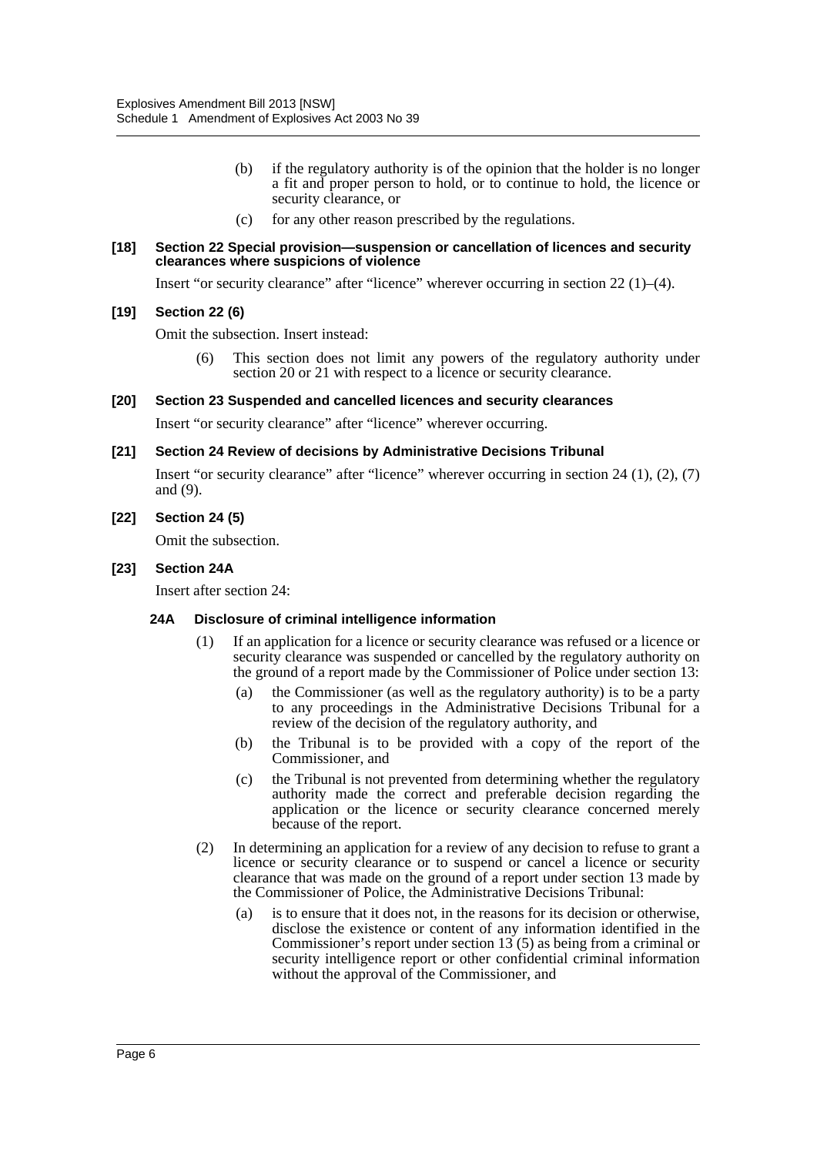- (b) if the regulatory authority is of the opinion that the holder is no longer a fit and proper person to hold, or to continue to hold, the licence or security clearance, or
- (c) for any other reason prescribed by the regulations.

#### **[18] Section 22 Special provision—suspension or cancellation of licences and security clearances where suspicions of violence**

Insert "or security clearance" after "licence" wherever occurring in section  $22 \left( 1 \right)$ –(4).

#### **[19] Section 22 (6)**

Omit the subsection. Insert instead:

This section does not limit any powers of the regulatory authority under section 20 or 21 with respect to a licence or security clearance.

#### **[20] Section 23 Suspended and cancelled licences and security clearances**

Insert "or security clearance" after "licence" wherever occurring.

#### **[21] Section 24 Review of decisions by Administrative Decisions Tribunal**

Insert "or security clearance" after "licence" wherever occurring in section  $24$  (1), (2), (7) and (9).

#### **[22] Section 24 (5)**

Omit the subsection.

#### **[23] Section 24A**

Insert after section 24:

#### **24A Disclosure of criminal intelligence information**

- (1) If an application for a licence or security clearance was refused or a licence or security clearance was suspended or cancelled by the regulatory authority on the ground of a report made by the Commissioner of Police under section 13:
	- (a) the Commissioner (as well as the regulatory authority) is to be a party to any proceedings in the Administrative Decisions Tribunal for a review of the decision of the regulatory authority, and
	- (b) the Tribunal is to be provided with a copy of the report of the Commissioner, and
	- (c) the Tribunal is not prevented from determining whether the regulatory authority made the correct and preferable decision regarding the application or the licence or security clearance concerned merely because of the report.
- (2) In determining an application for a review of any decision to refuse to grant a licence or security clearance or to suspend or cancel a licence or security clearance that was made on the ground of a report under section 13 made by the Commissioner of Police, the Administrative Decisions Tribunal:
	- (a) is to ensure that it does not, in the reasons for its decision or otherwise, disclose the existence or content of any information identified in the Commissioner's report under section  $13(5)$  as being from a criminal or security intelligence report or other confidential criminal information without the approval of the Commissioner, and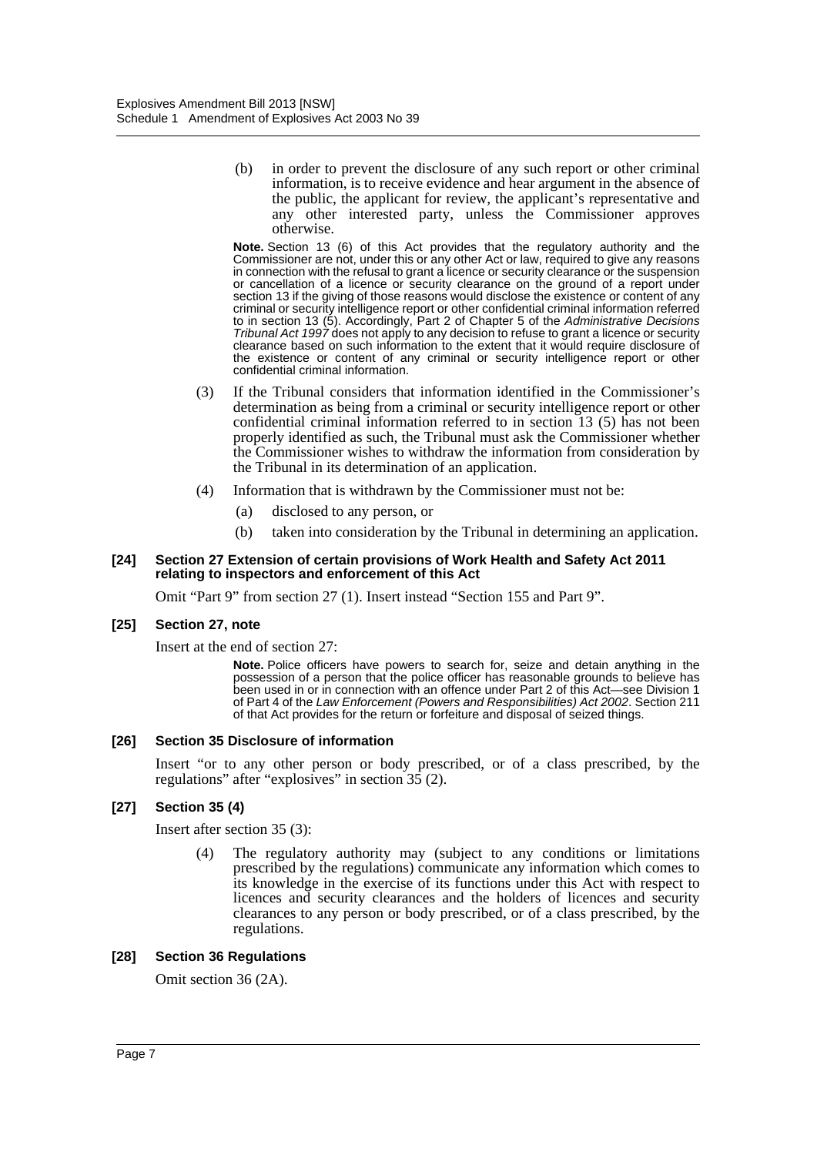(b) in order to prevent the disclosure of any such report or other criminal information, is to receive evidence and hear argument in the absence of the public, the applicant for review, the applicant's representative and any other interested party, unless the Commissioner approves otherwise.

**Note.** Section 13 (6) of this Act provides that the regulatory authority and the Commissioner are not, under this or any other Act or law, required to give any reasons in connection with the refusal to grant a licence or security clearance or the suspension or cancellation of a licence or security clearance on the ground of a report under section 13 if the giving of those reasons would disclose the existence or content of any criminal or security intelligence report or other confidential criminal information referred to in section 13 (5). Accordingly, Part 2 of Chapter 5 of the *Administrative Decisions Tribunal Act 1997* does not apply to any decision to refuse to grant a licence or security clearance based on such information to the extent that it would require disclosure of the existence or content of any criminal or security intelligence report or other confidential criminal information.

- (3) If the Tribunal considers that information identified in the Commissioner's determination as being from a criminal or security intelligence report or other confidential criminal information referred to in section 13 (5) has not been properly identified as such, the Tribunal must ask the Commissioner whether the Commissioner wishes to withdraw the information from consideration by the Tribunal in its determination of an application.
- (4) Information that is withdrawn by the Commissioner must not be:
	- (a) disclosed to any person, or
	- (b) taken into consideration by the Tribunal in determining an application.

#### **[24] Section 27 Extension of certain provisions of Work Health and Safety Act 2011 relating to inspectors and enforcement of this Act**

Omit "Part 9" from section 27 (1). Insert instead "Section 155 and Part 9".

#### **[25] Section 27, note**

Insert at the end of section 27:

**Note.** Police officers have powers to search for, seize and detain anything in the possession of a person that the police officer has reasonable grounds to believe has been used in or in connection with an offence under Part 2 of this Act—see Division 1 of Part 4 of the *Law Enforcement (Powers and Responsibilities) Act 2002*. Section 211 of that Act provides for the return or forfeiture and disposal of seized things.

#### **[26] Section 35 Disclosure of information**

Insert "or to any other person or body prescribed, or of a class prescribed, by the regulations" after "explosives" in section  $3\overline{5}$  (2).

#### **[27] Section 35 (4)**

Insert after section 35 (3):

(4) The regulatory authority may (subject to any conditions or limitations prescribed by the regulations) communicate any information which comes to its knowledge in the exercise of its functions under this Act with respect to licences and security clearances and the holders of licences and security clearances to any person or body prescribed, or of a class prescribed, by the regulations.

#### **[28] Section 36 Regulations**

Omit section 36 (2A).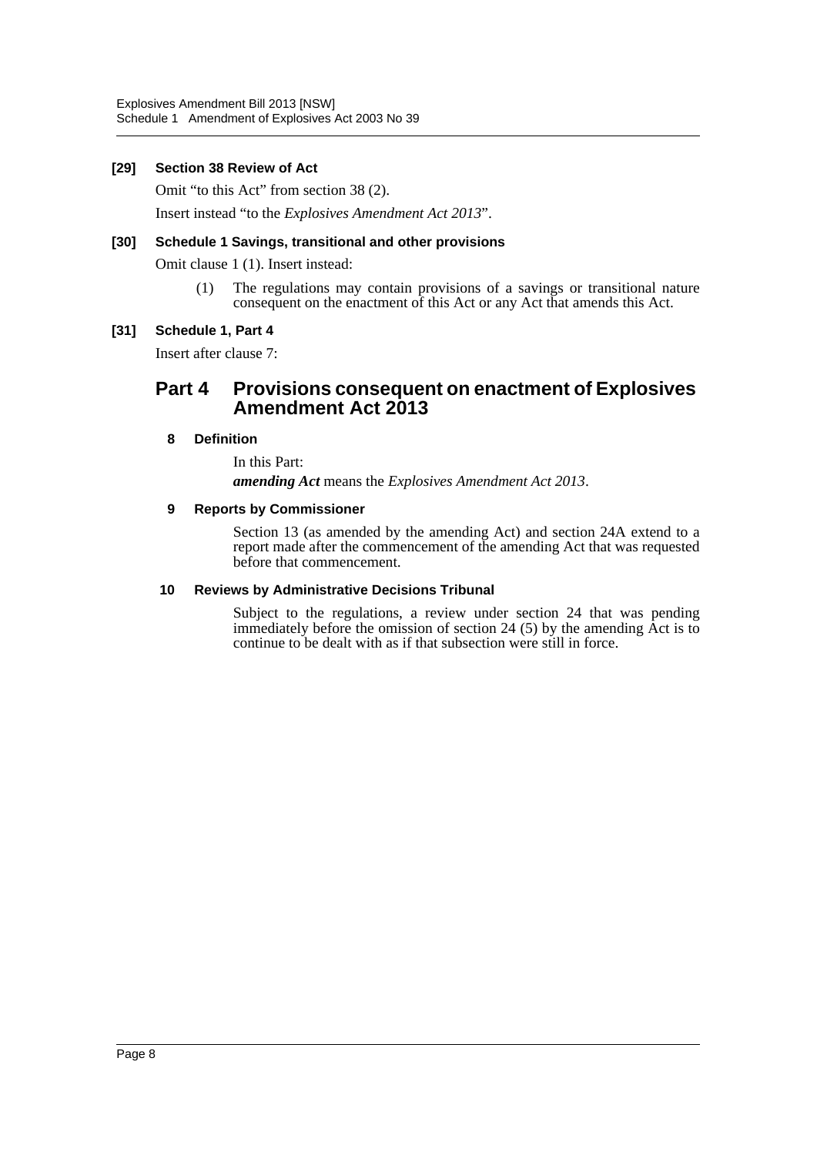#### **[29] Section 38 Review of Act**

Omit "to this Act" from section 38 (2).

Insert instead "to the *Explosives Amendment Act 2013*".

# **[30] Schedule 1 Savings, transitional and other provisions**

Omit clause 1 (1). Insert instead:

(1) The regulations may contain provisions of a savings or transitional nature consequent on the enactment of this Act or any Act that amends this Act.

# **[31] Schedule 1, Part 4**

Insert after clause 7:

# **Part 4 Provisions consequent on enactment of Explosives Amendment Act 2013**

# **8 Definition**

In this Part: *amending Act* means the *Explosives Amendment Act 2013*.

#### **9 Reports by Commissioner**

Section 13 (as amended by the amending Act) and section 24A extend to a report made after the commencement of the amending Act that was requested before that commencement.

#### **10 Reviews by Administrative Decisions Tribunal**

Subject to the regulations, a review under section 24 that was pending immediately before the omission of section 24 (5) by the amending Act is to continue to be dealt with as if that subsection were still in force.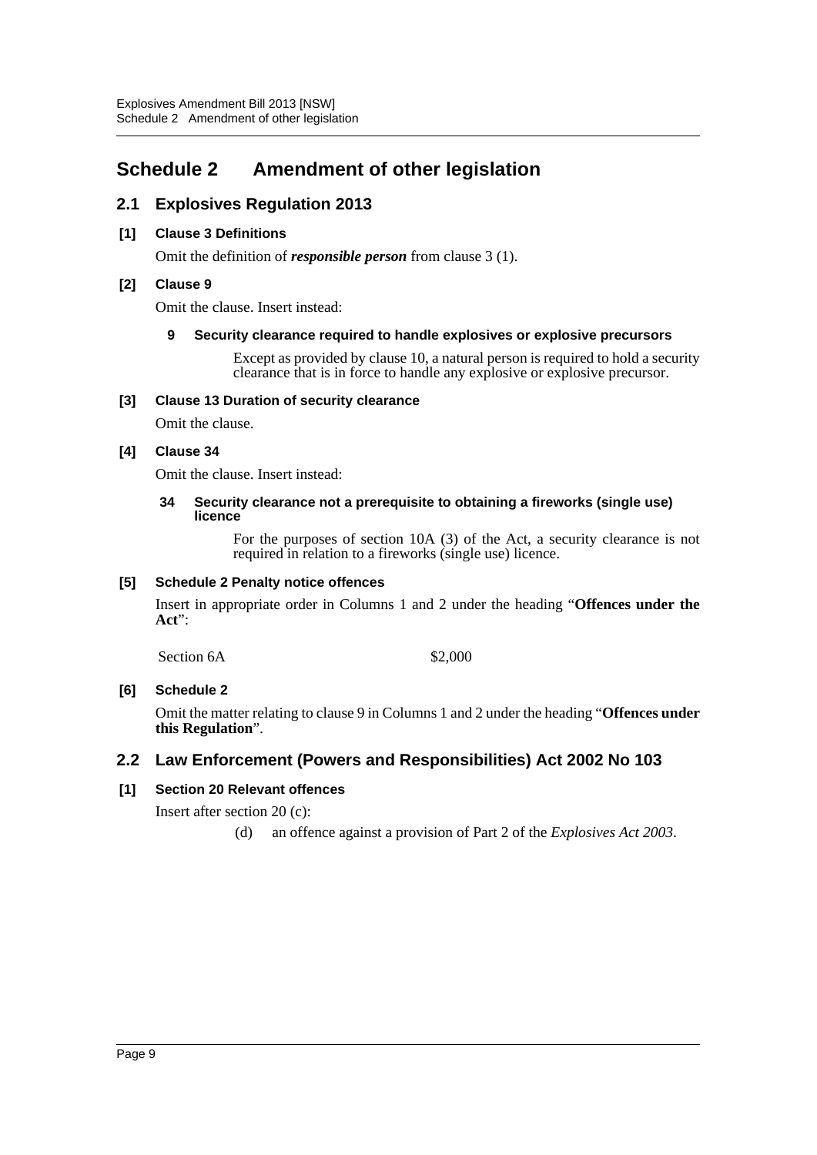# <span id="page-9-0"></span>**Schedule 2 Amendment of other legislation**

# **2.1 Explosives Regulation 2013**

# **[1] Clause 3 Definitions**

Omit the definition of *responsible person* from clause 3 (1).

# **[2] Clause 9**

Omit the clause. Insert instead:

# **9 Security clearance required to handle explosives or explosive precursors**

Except as provided by clause 10, a natural person is required to hold a security clearance that is in force to handle any explosive or explosive precursor.

# **[3] Clause 13 Duration of security clearance**

Omit the clause.

# **[4] Clause 34**

Omit the clause. Insert instead:

#### **34 Security clearance not a prerequisite to obtaining a fireworks (single use) licence**

For the purposes of section 10A (3) of the Act, a security clearance is not required in relation to a fireworks (single use) licence.

# **[5] Schedule 2 Penalty notice offences**

Insert in appropriate order in Columns 1 and 2 under the heading "**Offences under the Act**":

Section  $6A$  \$2,000

# **[6] Schedule 2**

Omit the matter relating to clause 9 in Columns 1 and 2 under the heading "**Offences under this Regulation**".

# **2.2 Law Enforcement (Powers and Responsibilities) Act 2002 No 103**

# **[1] Section 20 Relevant offences**

Insert after section 20 (c):

(d) an offence against a provision of Part 2 of the *Explosives Act 2003*.